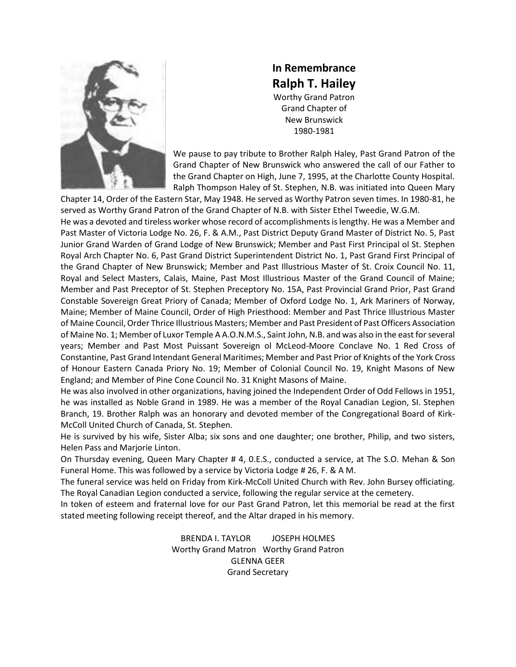

**In Remembrance Ralph T. Hailey** Worthy Grand Patron Grand Chapter of New Brunswick 1980-1981

We pause to pay tribute to Brother Ralph Haley, Past Grand Patron of the Grand Chapter of New Brunswick who answered the call of our Father to the Grand Chapter on High, June 7, 1995, at the Charlotte County Hospital. Ralph Thompson Haley of St. Stephen, N.B. was initiated into Queen Mary

Chapter 14, Order of the Eastern Star, May 1948. He served as Worthy Patron seven times. In 1980-81, he served as Worthy Grand Patron of the Grand Chapter of N.B. with Sister Ethel Tweedie, W.G.M. He was a devoted and tireless worker whose record of accomplishments is lengthy. He was a Member and Past Master of Victoria Lodge No. 26, F. & A.M., Past District Deputy Grand Master of District No. 5, Past Junior Grand Warden of Grand Lodge of New Brunswick; Member and Past First Principal ol St. Stephen Royal Arch Chapter No. 6, Past Grand District Superintendent District No. 1, Past Grand First Principal of the Grand Chapter of New Brunswick; Member and Past Illustrious Master of St. Croix Council No. 11, Royal and Select Masters, Calais, Maine, Past Most Illustrious Master of the Grand Council of Maine; Member and Past Preceptor of St. Stephen Preceptory No. 15A, Past Provincial Grand Prior, Past Grand Constable Sovereign Great Priory of Canada; Member of Oxford Lodge No. 1, Ark Mariners of Norway, Maine; Member of Maine Council, Order of High Priesthood: Member and Past Thrice Illustrious Master of Maine Council, Order Thrice Illustrious Masters; Member and Past President of Past Officers Association of Maine No. 1; Member of Luxor Temple A A.O.N.M.S., Saint John, N.B. and was also in the east for several years; Member and Past Most Puissant Sovereign ol McLeod-Moore Conclave No. 1 Red Cross of Constantine, Past Grand Intendant General Maritimes; Member and Past Prior of Knights of the York Cross of Honour Eastern Canada Priory No. 19; Member of Colonial Council No. 19, Knight Masons of New England; and Member of Pine Cone Council No. 31 Knight Masons of Maine.

He was also involved in other organizations, having joined the Independent Order of Odd Fellows in 1951, he was installed as Noble Grand in 1989. He was a member of the Royal Canadian Legion, SI. Stephen Branch, 19. Brother Ralph was an honorary and devoted member of the Congregational Board of Kirk-McColl United Church of Canada, St. Stephen.

He is survived by his wife, Sister Alba; six sons and one daughter; one brother, Philip, and two sisters, Helen Pass and Marjorie Linton.

On Thursday evening, Queen Mary Chapter # 4, 0.E.S., conducted a service, at The S.O. Mehan & Son Funeral Home. This was followed by a service by Victoria Lodge # 26, F. & A M.

The funeral service was held on Friday from Kirk-McColl United Church with Rev. John Bursey officiating. The Royal Canadian Legion conducted a service, following the regular service at the cemetery.

In token of esteem and fraternal love for our Past Grand Patron, let this memorial be read at the first stated meeting following receipt thereof, and the Altar draped in his memory.

> BRENDA I. TAYLOR JOSEPH HOLMES Worthy Grand Matron Worthy Grand Patron GLENNA GEER Grand Secretary